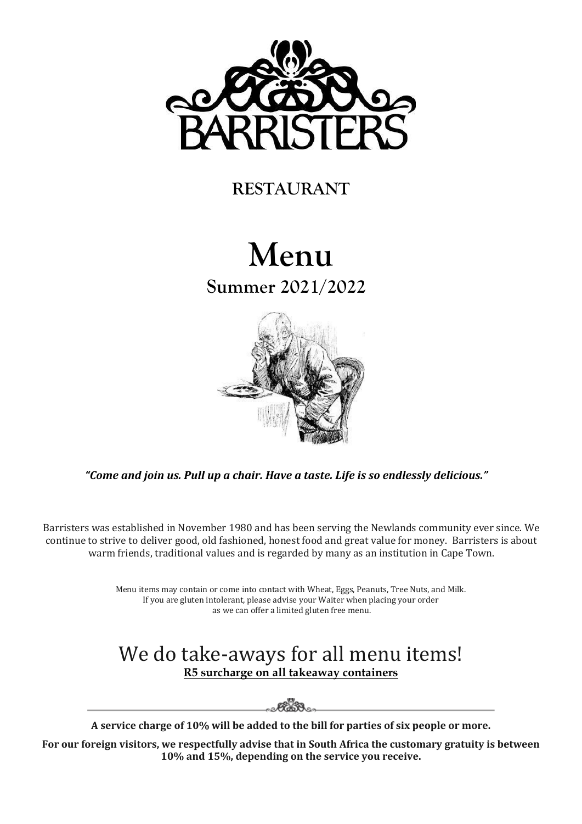

## **RESTAURANT**

# **Menu Summer 2021/2022**



*"Come and join us. Pull up a chair. Have a taste. Life is so endlessly delicious."*

Barristers was established in November 1980 and has been serving the Newlands community ever since. We continue to strive to deliver good, old fashioned, honest food and great value for money. Barristers is about warm friends, traditional values and is regarded by many as an institution in Cape Town.

> Menu items may contain or come into contact with Wheat, Eggs, Peanuts, Tree Nuts, and Milk. If you are gluten intolerant, please advise your Waiter when placing your order as we can offer a limited gluten free menu.

## We do take-aways for all menu items! **R5 surcharge on all takeaway containers**

<u>e Fadd on</u>

**A service charge of 10% will be added to the bill for parties of six people or more.** 

**For our foreign visitors, we respectfully advise that in South Africa the customary gratuity is between 10% and 15%, depending on the service you receive.**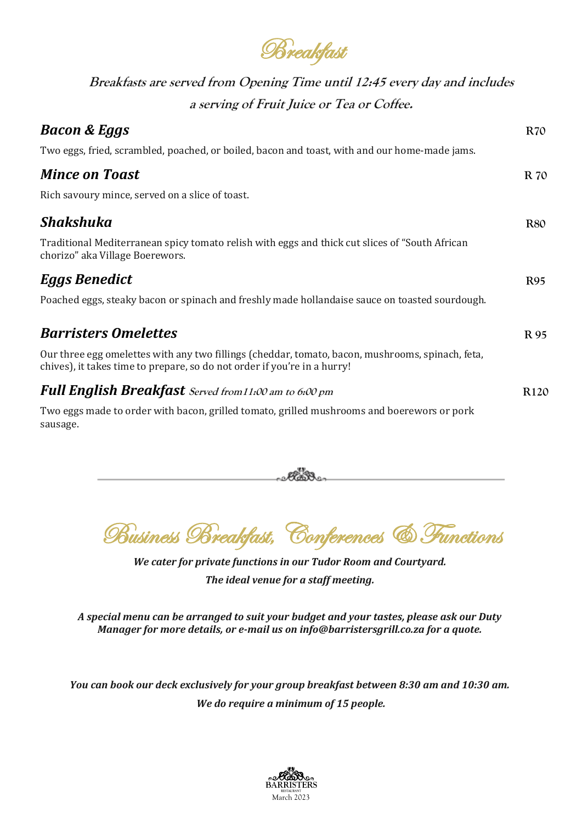**Breakfast** 

**Breakfasts are served from Opening Time until 12:45 every day and includes a serving of Fruit Juice or Tea or Coffee.**

| <b>Bacon &amp; Eggs</b>                                                                                                                                                      | <b>R70</b>       |
|------------------------------------------------------------------------------------------------------------------------------------------------------------------------------|------------------|
| Two eggs, fried, scrambled, poached, or boiled, bacon and toast, with and our home-made jams.                                                                                |                  |
| <b>Mince on Toast</b>                                                                                                                                                        | R 70             |
| Rich savoury mince, served on a slice of toast.                                                                                                                              |                  |
| Shakshuka                                                                                                                                                                    | <b>R80</b>       |
| Traditional Mediterranean spicy tomato relish with eggs and thick cut slices of "South African"<br>chorizo" aka Village Boerewors.                                           |                  |
| <b>Eggs Benedict</b>                                                                                                                                                         | <b>R95</b>       |
| Poached eggs, steaky bacon or spinach and freshly made hollandaise sauce on toasted sourdough.                                                                               |                  |
| <b>Barristers Omelettes</b>                                                                                                                                                  | R 95             |
| Our three egg omelettes with any two fillings (cheddar, tomato, bacon, mushrooms, spinach, feta,<br>chives), it takes time to prepare, so do not order if you're in a hurry! |                  |
| <b>Full English Breakfast</b> Served from 11:00 am to 6:00 pm                                                                                                                | R <sub>120</sub> |
| Two eggs made to order with bacon, grilled tomato, grilled mushrooms and boerewors or pork<br>sausage.                                                                       |                  |

Business Breakfast, Conferences & Functions

<u>e Fados e</u>

Í

*We cater for private functions in our Tudor Room and Courtyard. The ideal venue for a staff meeting.*

*A special menu can be arranged to suit your budget and your tastes, please ask our Duty Manager for more details, or e-mail us o[n info@barristersgrill.co.za](mailto:info@barristersgrill.co.za) for a quote.*

*You can book our deck exclusively for your group breakfast between 8:30 am and 10:30 am. We do require a minimum of 15 people.*

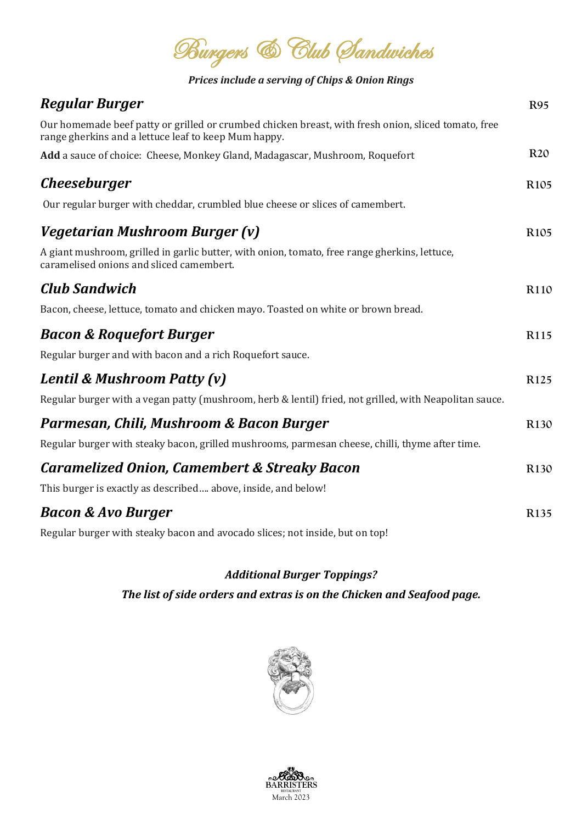**Burgers** & Club Sandwiches

*Prices include a serving of Chips & Onion Rings*

| <b>Regular Burger</b>                                                                                                                                       | <b>R95</b>       |
|-------------------------------------------------------------------------------------------------------------------------------------------------------------|------------------|
| Our homemade beef patty or grilled or crumbed chicken breast, with fresh onion, sliced tomato, free<br>range gherkins and a lettuce leaf to keep Mum happy. |                  |
| Add a sauce of choice: Cheese, Monkey Gland, Madagascar, Mushroom, Roquefort                                                                                | <b>R20</b>       |
| <i>Cheeseburger</i>                                                                                                                                         | R <sub>105</sub> |
| Our regular burger with cheddar, crumbled blue cheese or slices of camembert.                                                                               |                  |
| Vegetarian Mushroom Burger (v)                                                                                                                              | R <sub>105</sub> |
| A giant mushroom, grilled in garlic butter, with onion, tomato, free range gherkins, lettuce,<br>caramelised onions and sliced camembert.                   |                  |
| <b>Club Sandwich</b>                                                                                                                                        | R110             |
| Bacon, cheese, lettuce, tomato and chicken mayo. Toasted on white or brown bread.                                                                           |                  |
| <b>Bacon &amp; Roquefort Burger</b>                                                                                                                         | R115             |
| Regular burger and with bacon and a rich Roquefort sauce.                                                                                                   |                  |
| Lentil & Mushroom Patty (v)                                                                                                                                 | R <sub>125</sub> |
| Regular burger with a vegan patty (mushroom, herb & lentil) fried, not grilled, with Neapolitan sauce.                                                      |                  |
| Parmesan, Chili, Mushroom & Bacon Burger                                                                                                                    | R <sub>130</sub> |
| Regular burger with steaky bacon, grilled mushrooms, parmesan cheese, chilli, thyme after time.                                                             |                  |
| <b>Caramelized Onion, Camembert &amp; Streaky Bacon</b>                                                                                                     | R130             |
| This burger is exactly as described above, inside, and below!                                                                                               |                  |
| <b>Bacon &amp; Avo Burger</b>                                                                                                                               | R135             |
| Regular burger with steaky bacon and avocado slices; not inside, but on top!                                                                                |                  |

#### *Additional Burger Toppings?*

*The list of side orders and extras is on the Chicken and Seafood page.*



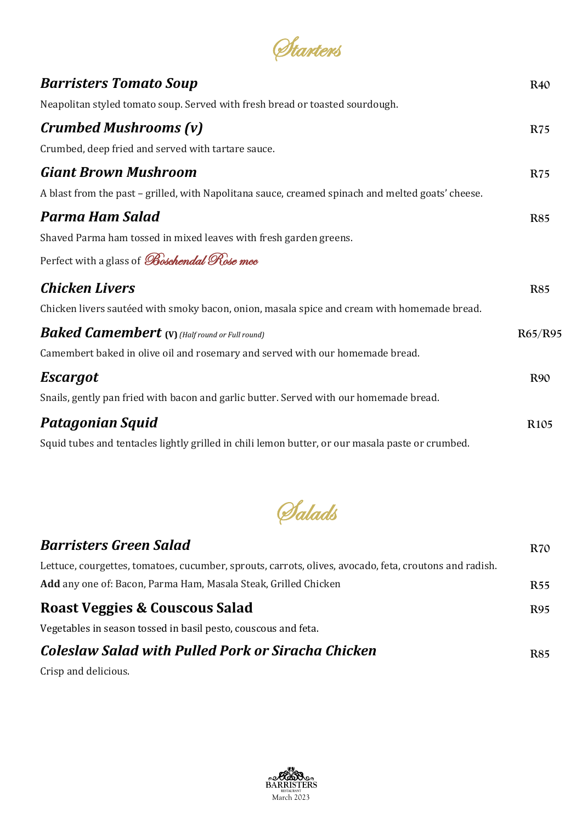| Starters                                                                                          |                  |
|---------------------------------------------------------------------------------------------------|------------------|
| <b>Barristers Tomato Soup</b>                                                                     | <b>R40</b>       |
| Neapolitan styled tomato soup. Served with fresh bread or toasted sourdough.                      |                  |
| <b>Crumbed Mushrooms (v)</b>                                                                      | <b>R75</b>       |
| Crumbed, deep fried and served with tartare sauce.                                                |                  |
| <b>Giant Brown Mushroom</b>                                                                       | <b>R75</b>       |
| A blast from the past – grilled, with Napolitana sauce, creamed spinach and melted goats' cheese. |                  |
| <b>Parma Ham Salad</b>                                                                            | <b>R85</b>       |
| Shaved Parma ham tossed in mixed leaves with fresh garden greens.                                 |                  |
| Perfect with a glass of <i>Boschendal Rose mee</i>                                                |                  |
| <b>Chicken Livers</b>                                                                             | <b>R85</b>       |
| Chicken livers sautéed with smoky bacon, onion, masala spice and cream with homemade bread.       |                  |
| <b>Baked Camembert</b> (V) (Half round or Full round)                                             | R65/R95          |
| Camembert baked in olive oil and rosemary and served with our homemade bread.                     |                  |
| <b>Escargot</b>                                                                                   | <b>R90</b>       |
| Snails, gently pan fried with bacon and garlic butter. Served with our homemade bread.            |                  |
| <b>Patagonian Squid</b>                                                                           | R <sub>105</sub> |
| Squid tubes and tentacles lightly grilled in chili lemon butter, or our masala paste or crumbed.  |                  |

Salads

| <b>Barristers Green Salad</b>                                                                          | <b>R70</b> |
|--------------------------------------------------------------------------------------------------------|------------|
| Lettuce, courgettes, tomatoes, cucumber, sprouts, carrots, olives, avocado, feta, croutons and radish. |            |
| Add any one of: Bacon, Parma Ham, Masala Steak, Grilled Chicken                                        | R55        |
| Roast Veggies & Couscous Salad                                                                         | R95        |
| Vegetables in season tossed in basil pesto, couscous and feta.                                         |            |
| Coleslaw Salad with Pulled Pork or Siracha Chicken                                                     | R85        |
|                                                                                                        |            |

Crisp and delicious.

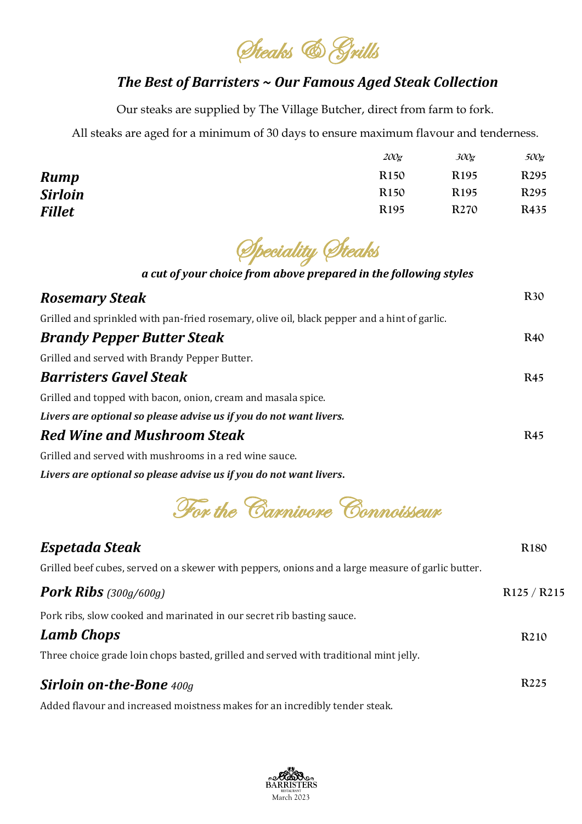Steaks & Grills

#### *The Best of Barristers ~ Our Famous Aged Steak Collection*

Our steaks are supplied by The Village Butcher, direct from farm to fork.

All steaks are aged for a minimum of 30 days to ensure maximum flavour and tenderness.

|                | 200 <sub>g</sub> | 300g             | 500g             |
|----------------|------------------|------------------|------------------|
| <b>Rump</b>    | R <sub>150</sub> | R <sub>195</sub> | R <sub>295</sub> |
| <b>Sirloin</b> | <b>R150</b>      | R <sub>195</sub> | R <sub>295</sub> |
| <b>Fillet</b>  | R <sub>195</sub> | R <sub>270</sub> | R435             |

Speciality Steaks

#### *a cut of your choice from above prepared in the following styles*

| <b>Rosemary Steak</b>                                                                        | <b>R30</b> |
|----------------------------------------------------------------------------------------------|------------|
| Grilled and sprinkled with pan-fried rosemary, olive oil, black pepper and a hint of garlic. |            |
| <b>Brandy Pepper Butter Steak</b>                                                            | <b>R40</b> |
| Grilled and served with Brandy Pepper Butter.                                                |            |
| <b>Barristers Gavel Steak</b>                                                                | <b>R45</b> |
| Grilled and topped with bacon, onion, cream and masala spice.                                |            |
| Livers are optional so please advise us if you do not want livers.                           |            |
| <b>Red Wine and Mushroom Steak</b>                                                           | <b>R45</b> |
| Grilled and served with mushrooms in a red wine sauce.                                       |            |

*Livers are optional so please advise us if you do not want livers***.**

For the Carnivore Connoisseur

| <b>Espetada Steak</b>                                                                             | R <sub>180</sub>                    |
|---------------------------------------------------------------------------------------------------|-------------------------------------|
| Grilled beef cubes, served on a skewer with peppers, onions and a large measure of garlic butter. |                                     |
| <b>Pork Ribs</b> $(300g/600g)$                                                                    | R <sub>125</sub> / R <sub>215</sub> |
| Pork ribs, slow cooked and marinated in our secret rib basting sauce.                             |                                     |
| <b>Lamb Chops</b>                                                                                 | R <sub>2</sub> 10                   |
| Three choice grade loin chops basted, grilled and served with traditional mint jelly.             |                                     |
| <b>Sirloin on-the-Bone</b> 400g                                                                   | R <sub>225</sub>                    |

Added flavour and increased moistness makes for an incredibly tender steak.

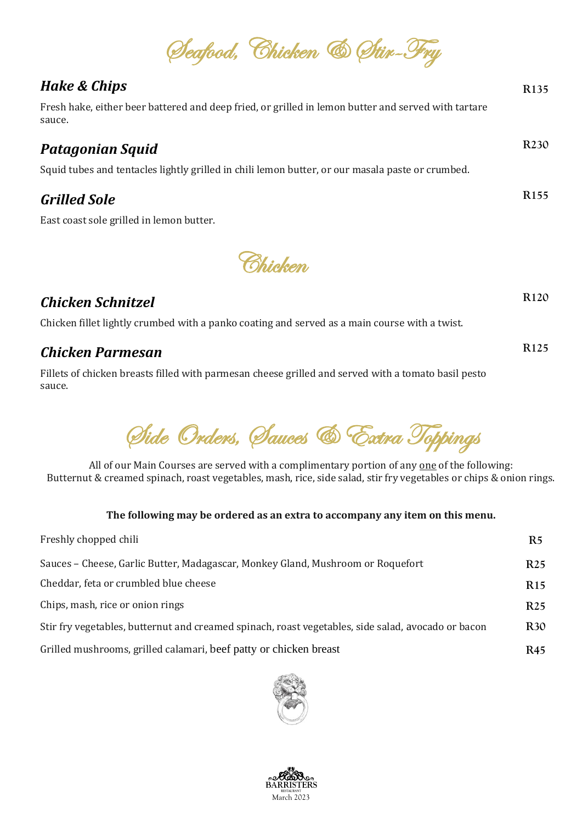Seafood, Chicken & Stir-Fry

**R135**

**R230**

**R155**

**R120**

**R125**

### *Hake & Chips*

Fresh hake, either beer battered and deep fried, or grilled in lemon butter and served with tartare sauce.

#### *Patagonian Squid*

Squid tubes and tentacles lightly grilled in chili lemon butter, or our masala paste or crumbed.

## *Grilled Sole*

East coast sole grilled in lemon butter.



#### *Chicken Schnitzel*

Chicken fillet lightly crumbed with a panko coating and served as a main course with a twist.

#### *Chicken Parmesan*

Fillets of chicken breasts filled with parmesan cheese grilled and served with a tomato basil pesto sauce.

Side Orders, Sauces & Extra Toppings

All of our Main Courses are served with a complimentary portion of any one of the following: Butternut & creamed spinach, roast vegetables, mash, rice, side salad, stir fry vegetables or chips & onion rings.

#### **The following may be ordered as an extra to accompany any item on this menu.**

| Freshly chopped chili                                                                              | R5              |
|----------------------------------------------------------------------------------------------------|-----------------|
| Sauces – Cheese, Garlic Butter, Madagascar, Monkey Gland, Mushroom or Roquefort                    | R <sub>25</sub> |
| Cheddar, feta or crumbled blue cheese                                                              | R <sub>15</sub> |
| Chips, mash, rice or onion rings                                                                   | R <sub>25</sub> |
| Stir fry vegetables, butternut and creamed spinach, roast vegetables, side salad, avocado or bacon | <b>R30</b>      |
| Grilled mushrooms, grilled calamari, beef patty or chicken breast                                  | R45             |



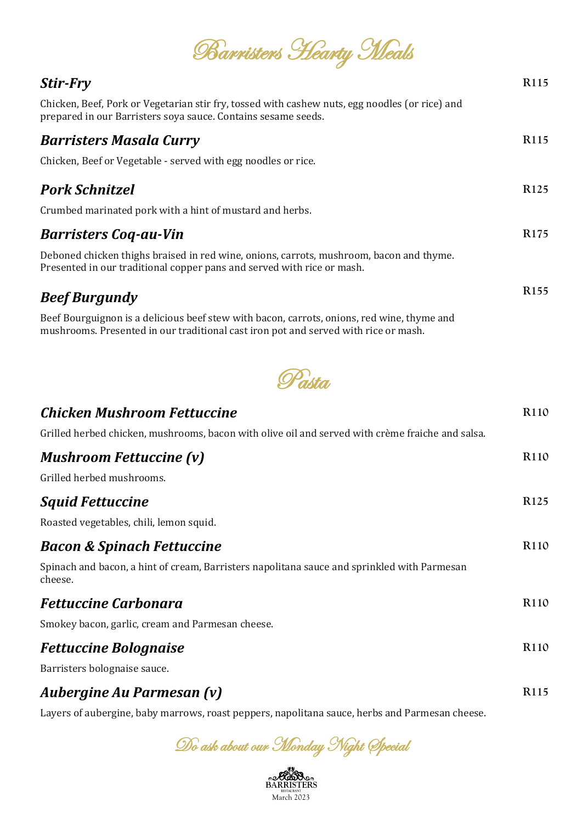| Barristers Hearty Meals |  |
|-------------------------|--|
|                         |  |

**R115**

| Chicken, Beef, Pork or Vegetarian stir fry, tossed with cashew nuts, egg noodles (or rice) and<br>prepared in our Barristers soya sauce. Contains sesame seeds.                   |                  |
|-----------------------------------------------------------------------------------------------------------------------------------------------------------------------------------|------------------|
| <b>Barristers Masala Curry</b>                                                                                                                                                    | R <sub>115</sub> |
| Chicken, Beef or Vegetable - served with egg noodles or rice.                                                                                                                     |                  |
| <b>Pork Schnitzel</b>                                                                                                                                                             | R <sub>125</sub> |
| Crumbed marinated pork with a hint of mustard and herbs.                                                                                                                          |                  |
| <b>Barristers Coq-au-Vin</b>                                                                                                                                                      | R <sub>175</sub> |
| Deboned chicken thighs braised in red wine, onions, carrots, mushroom, bacon and thyme.<br>Presented in our traditional copper pans and served with rice or mash.                 |                  |
| <b>Beef Burgundy</b>                                                                                                                                                              | R <sub>155</sub> |
| Beef Bourguignon is a delicious beef stew with bacon, carrots, onions, red wine, thyme and<br>mushrooms. Presented in our traditional cast iron pot and served with rice or mash. |                  |



| <b>Chicken Mushroom Fettuccine</b>                                                                     | R <sub>110</sub> |
|--------------------------------------------------------------------------------------------------------|------------------|
| Grilled herbed chicken, mushrooms, bacon with olive oil and served with crème fraiche and salsa.       |                  |
| <b>Mushroom Fettuccine (v)</b>                                                                         | R <sub>110</sub> |
| Grilled herbed mushrooms.                                                                              |                  |
| <b>Squid Fettuccine</b>                                                                                | R <sub>125</sub> |
| Roasted vegetables, chili, lemon squid.                                                                |                  |
| <b>Bacon &amp; Spinach Fettuccine</b>                                                                  | R <sub>110</sub> |
| Spinach and bacon, a hint of cream, Barristers napolitana sauce and sprinkled with Parmesan<br>cheese. |                  |
| <b>Fettuccine Carbonara</b>                                                                            | R <sub>110</sub> |
| Smokey bacon, garlic, cream and Parmesan cheese.                                                       |                  |
| <b>Fettuccine Bolognaise</b>                                                                           | R110             |
| Barristers bolognaise sauce.                                                                           |                  |
| Auberaine Au Parmesan (v)                                                                              | R115             |

*Aubergine Au Parmesan (v)*

Layers of aubergine, baby marrows, roast peppers, napolitana sauce, herbs and Parmesan cheese.

Do ask about our Monday Night Special

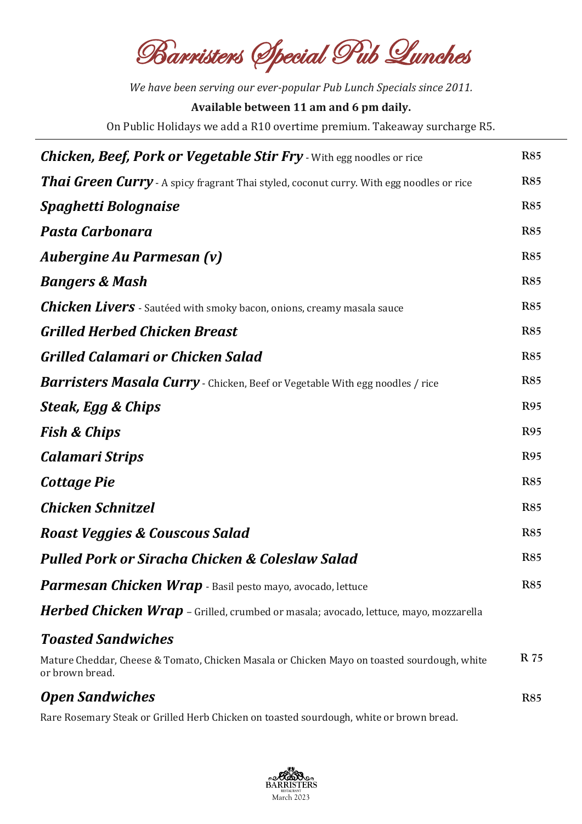Barristers Special Pub Lunches

*We have been serving our ever-popular Pub Lunch Specials since 2011.* **Available between 11 am and 6 pm daily.** 

On Public Holidays we add a R10 overtime premium. Takeaway surcharge R5.

| <b>Chicken, Beef, Pork or Vegetable Stir Fry</b> - With egg noodles or rice                                    | <b>R85</b> |
|----------------------------------------------------------------------------------------------------------------|------------|
| <b>Thai Green Curry</b> - A spicy fragrant Thai styled, coconut curry. With egg noodles or rice                | <b>R85</b> |
| <b>Spaghetti Bolognaise</b>                                                                                    | <b>R85</b> |
| Pasta Carbonara                                                                                                | <b>R85</b> |
| <b>Aubergine Au Parmesan (v)</b>                                                                               | <b>R85</b> |
| <b>Bangers &amp; Mash</b>                                                                                      | <b>R85</b> |
| <b>Chicken Livers</b> - Sautéed with smoky bacon, onions, creamy masala sauce                                  | <b>R85</b> |
| <b>Grilled Herbed Chicken Breast</b>                                                                           | <b>R85</b> |
| <b>Grilled Calamari or Chicken Salad</b>                                                                       | <b>R85</b> |
| <b>Barristers Masala Curry</b> - Chicken, Beef or Vegetable With egg noodles / rice                            | <b>R85</b> |
| Steak, Egg & Chips                                                                                             | <b>R95</b> |
| <b>Fish &amp; Chips</b>                                                                                        | <b>R95</b> |
| <b>Calamari Strips</b>                                                                                         | <b>R95</b> |
| <b>Cottage Pie</b>                                                                                             | <b>R85</b> |
| <b>Chicken Schnitzel</b>                                                                                       | <b>R85</b> |
| <b>Roast Veggies &amp; Couscous Salad</b>                                                                      | <b>R85</b> |
| <b>Pulled Pork or Siracha Chicken &amp; Coleslaw Salad</b>                                                     | <b>R85</b> |
| <b>Parmesan Chicken Wrap</b> - Basil pesto mayo, avocado, lettuce                                              | <b>R85</b> |
| Herbed Chicken Wrap - Grilled, crumbed or masala; avocado, lettuce, mayo, mozzarella                           |            |
| <b>Toasted Sandwiches</b>                                                                                      |            |
| Mature Cheddar, Cheese & Tomato, Chicken Masala or Chicken Mayo on toasted sourdough, white<br>or brown bread. | R 75       |
| <b>Open Sandwiches</b>                                                                                         | <b>R85</b> |

Rare Rosemary Steak or Grilled Herb Chicken on toasted sourdough, white or brown bread.